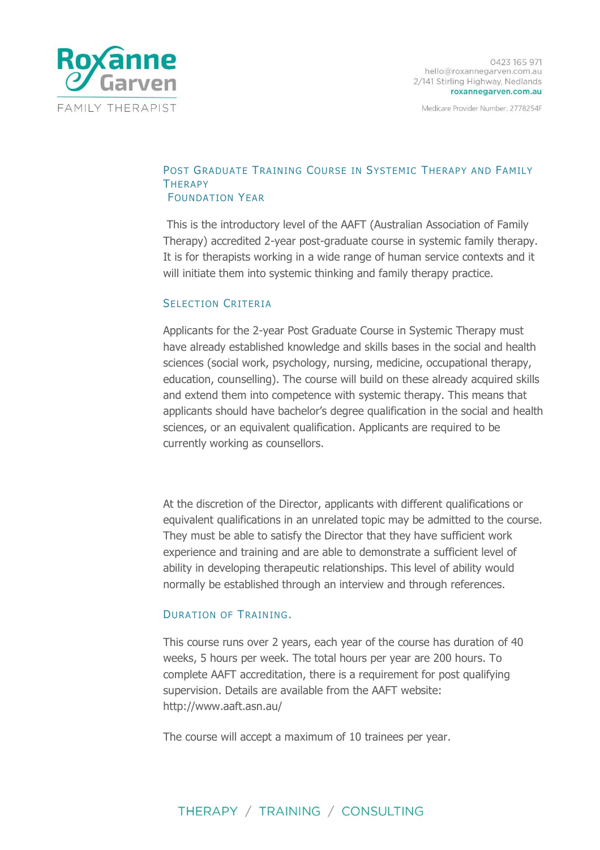

#### POST GRADUATE TRAINING COURSE IN SYSTEMIC THERAPY AND FAMILY **THERAPY** FOUNDATION YEAR

This is the introductory level of the AAFT (Australian Association of Family Therapy) accredited 2-year post-graduate course in systemic family therapy. It is for therapists working in a wide range of human service contexts and it will initiate them into systemic thinking and family therapy practice.

### SELECTION CRITERIA

Applicants for the 2-year Post Graduate Course in Systemic Therapy must have already established knowledge and skills bases in the social and health sciences (social work, psychology, nursing, medicine, occupational therapy, education, counselling). The course will build on these already acquired skills and extend them into competence with systemic therapy. This means that applicants should have bachelor's degree qualification in the social and health sciences, or an equivalent qualification. Applicants are required to be currently working as counsellors.

At the discretion of the Director, applicants with different qualifications or equivalent qualifications in an unrelated topic may be admitted to the course. They must be able to satisfy the Director that they have sufficient work experience and training and are able to demonstrate a sufficient level of ability in developing therapeutic relationships. This level of ability would normally be established through an interview and through references.

#### DURATION OF TRAINING.

This course runs over 2 years, each year of the course has duration of 40 weeks, 5 hours per week. The total hours per year are 200 hours. To complete AAFT accreditation, there is a requirement for post qualifying supervision. Details are available from the AAFT website: http://www.aaft.asn.au/

The course will accept a maximum of 10 trainees per year.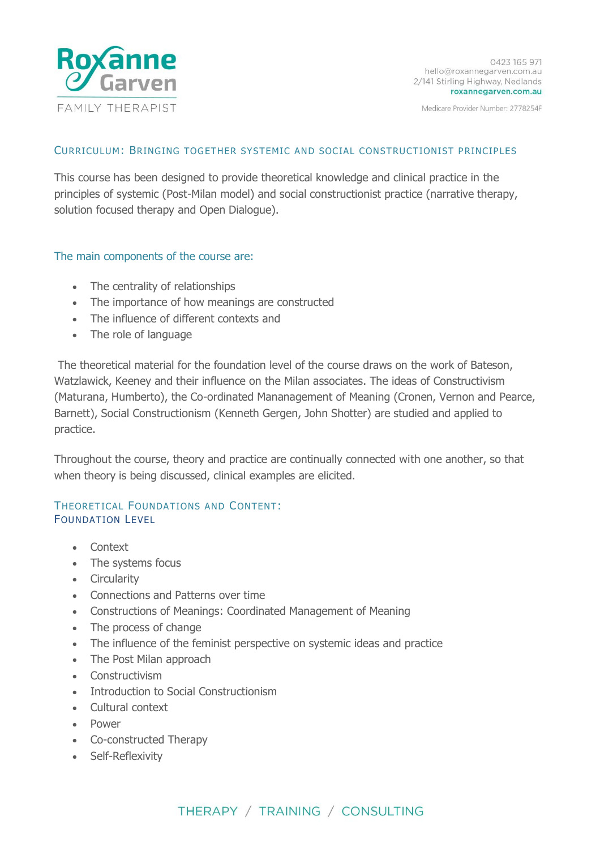

## CURRICULUM: BRINGING TOGETHER SYSTEMIC AND SOCIAL CONSTRUCTIONIST PRINCIPLES

This course has been designed to provide theoretical knowledge and clinical practice in the principles of systemic (Post-Milan model) and social constructionist practice (narrative therapy, solution focused therapy and Open Dialogue).

### The main components of the course are:

- The centrality of relationships
- The importance of how meanings are constructed
- The influence of different contexts and
- The role of language

The theoretical material for the foundation level of the course draws on the work of Bateson, Watzlawick, Keeney and their influence on the Milan associates. The ideas of Constructivism (Maturana, Humberto), the Co-ordinated Mananagement of Meaning (Cronen, Vernon and Pearce, Barnett), Social Constructionism (Kenneth Gergen, John Shotter) are studied and applied to practice.

Throughout the course, theory and practice are continually connected with one another, so that when theory is being discussed, clinical examples are elicited.

## THEORETICAL FOUNDATIONS AND CONTENT: FOUNDATION LEVEL

- Context
- The systems focus
- Circularity
- Connections and Patterns over time
- Constructions of Meanings: Coordinated Management of Meaning
- The process of change
- The influence of the feminist perspective on systemic ideas and practice
- The Post Milan approach
- Constructivism
- Introduction to Social Constructionism
- Cultural context
- Power
- Co-constructed Therapy
- Self-Reflexivity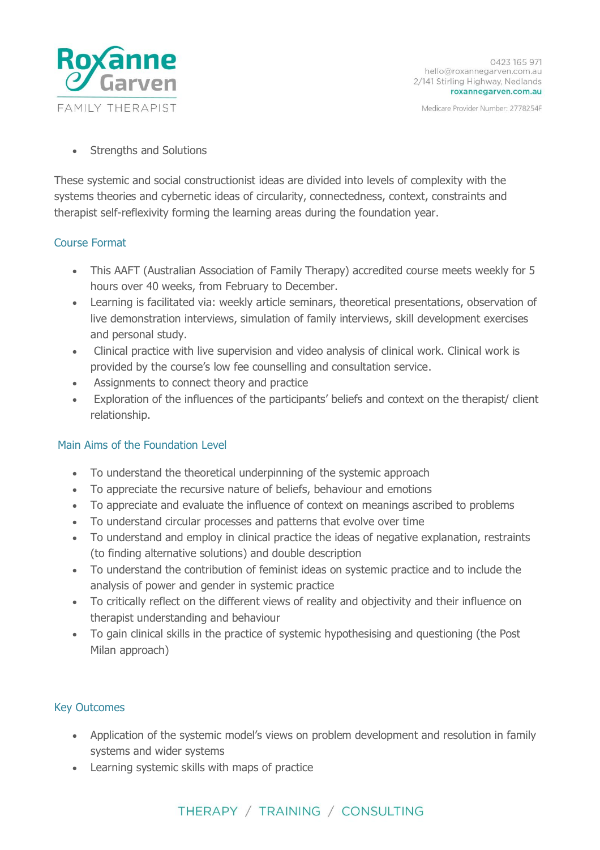

• Strengths and Solutions

These systemic and social constructionist ideas are divided into levels of complexity with the systems theories and cybernetic ideas of circularity, connectedness, context, constraints and therapist self-reflexivity forming the learning areas during the foundation year.

## Course Format

- This AAFT (Australian Association of Family Therapy) accredited course meets weekly for 5 hours over 40 weeks, from February to December.
- Learning is facilitated via: weekly article seminars, theoretical presentations, observation of live demonstration interviews, simulation of family interviews, skill development exercises and personal study.
- Clinical practice with live supervision and video analysis of clinical work. Clinical work is provided by the course's low fee counselling and consultation service.
- Assignments to connect theory and practice
- Exploration of the influences of the participants' beliefs and context on the therapist/ client relationship.

## Main Aims of the Foundation Level

- To understand the theoretical underpinning of the systemic approach
- To appreciate the recursive nature of beliefs, behaviour and emotions
- To appreciate and evaluate the influence of context on meanings ascribed to problems
- To understand circular processes and patterns that evolve over time
- To understand and employ in clinical practice the ideas of negative explanation, restraints (to finding alternative solutions) and double description
- To understand the contribution of feminist ideas on systemic practice and to include the analysis of power and gender in systemic practice
- To critically reflect on the different views of reality and objectivity and their influence on therapist understanding and behaviour
- To gain clinical skills in the practice of systemic hypothesising and questioning (the Post Milan approach)

## Key Outcomes

- Application of the systemic model's views on problem development and resolution in family systems and wider systems
- Learning systemic skills with maps of practice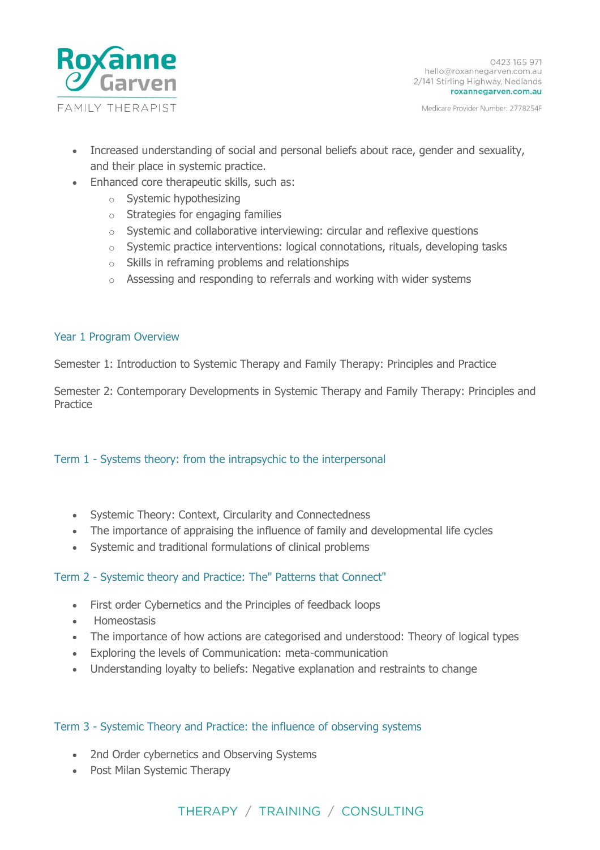

- Increased understanding of social and personal beliefs about race, gender and sexuality, and their place in systemic practice.
- Enhanced core therapeutic skills, such as:
	- o Systemic hypothesizing
	- o Strategies for engaging families
	- o Systemic and collaborative interviewing: circular and reflexive questions
	- o Systemic practice interventions: logical connotations, rituals, developing tasks
	- o Skills in reframing problems and relationships
	- o Assessing and responding to referrals and working with wider systems

## Year 1 Program Overview

Semester 1: Introduction to Systemic Therapy and Family Therapy: Principles and Practice

Semester 2: Contemporary Developments in Systemic Therapy and Family Therapy: Principles and Practice

## Term 1 - Systems theory: from the intrapsychic to the interpersonal

- Systemic Theory: Context, Circularity and Connectedness
- The importance of appraising the influence of family and developmental life cycles
- Systemic and traditional formulations of clinical problems

## Term 2 - Systemic theory and Practice: The" Patterns that Connect"

- First order Cybernetics and the Principles of feedback loops
- Homeostasis
- The importance of how actions are categorised and understood: Theory of logical types
- Exploring the levels of Communication: meta-communication
- Understanding loyalty to beliefs: Negative explanation and restraints to change

## Term 3 - Systemic Theory and Practice: the influence of observing systems

- 2nd Order cybernetics and Observing Systems
- Post Milan Systemic Therapy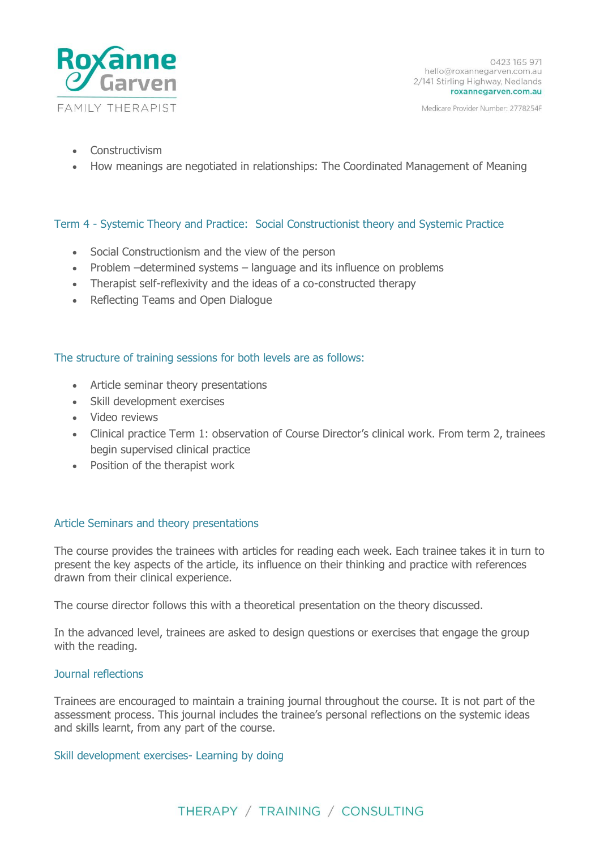

- **Constructivism**
- How meanings are negotiated in relationships: The Coordinated Management of Meaning

## Term 4 - Systemic Theory and Practice: Social Constructionist theory and Systemic Practice

- Social Constructionism and the view of the person
- Problem –determined systems language and its influence on problems
- Therapist self-reflexivity and the ideas of a co-constructed therapy
- Reflecting Teams and Open Dialogue

### The structure of training sessions for both levels are as follows:

- Article seminar theory presentations
- Skill development exercises
- Video reviews
- Clinical practice Term 1: observation of Course Director's clinical work. From term 2, trainees begin supervised clinical practice
- Position of the therapist work

#### Article Seminars and theory presentations

The course provides the trainees with articles for reading each week. Each trainee takes it in turn to present the key aspects of the article, its influence on their thinking and practice with references drawn from their clinical experience.

The course director follows this with a theoretical presentation on the theory discussed.

In the advanced level, trainees are asked to design questions or exercises that engage the group with the reading.

#### Journal reflections

Trainees are encouraged to maintain a training journal throughout the course. It is not part of the assessment process. This journal includes the trainee's personal reflections on the systemic ideas and skills learnt, from any part of the course.

#### Skill development exercises- Learning by doing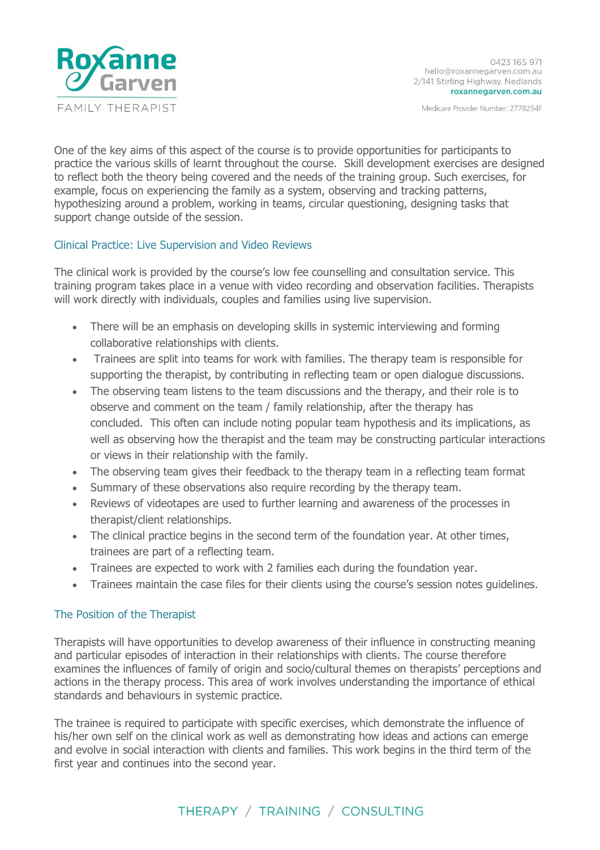

One of the key aims of this aspect of the course is to provide opportunities for participants to practice the various skills of learnt throughout the course. Skill development exercises are designed to reflect both the theory being covered and the needs of the training group. Such exercises, for example, focus on experiencing the family as a system, observing and tracking patterns, hypothesizing around a problem, working in teams, circular questioning, designing tasks that support change outside of the session.

### Clinical Practice: Live Supervision and Video Reviews

The clinical work is provided by the course's low fee counselling and consultation service. This training program takes place in a venue with video recording and observation facilities. Therapists will work directly with individuals, couples and families using live supervision.

- There will be an emphasis on developing skills in systemic interviewing and forming collaborative relationships with clients.
- Trainees are split into teams for work with families. The therapy team is responsible for supporting the therapist, by contributing in reflecting team or open dialogue discussions.
- The observing team listens to the team discussions and the therapy, and their role is to observe and comment on the team / family relationship, after the therapy has concluded. This often can include noting popular team hypothesis and its implications, as well as observing how the therapist and the team may be constructing particular interactions or views in their relationship with the family.
- The observing team gives their feedback to the therapy team in a reflecting team format
- Summary of these observations also require recording by the therapy team.
- Reviews of videotapes are used to further learning and awareness of the processes in therapist/client relationships.
- The clinical practice begins in the second term of the foundation year. At other times, trainees are part of a reflecting team.
- Trainees are expected to work with 2 families each during the foundation year.
- Trainees maintain the case files for their clients using the course's session notes guidelines.

## The Position of the Therapist

Therapists will have opportunities to develop awareness of their influence in constructing meaning and particular episodes of interaction in their relationships with clients. The course therefore examines the influences of family of origin and socio/cultural themes on therapists' perceptions and actions in the therapy process. This area of work involves understanding the importance of ethical standards and behaviours in systemic practice.

The trainee is required to participate with specific exercises, which demonstrate the influence of his/her own self on the clinical work as well as demonstrating how ideas and actions can emerge and evolve in social interaction with clients and families. This work begins in the third term of the first year and continues into the second year.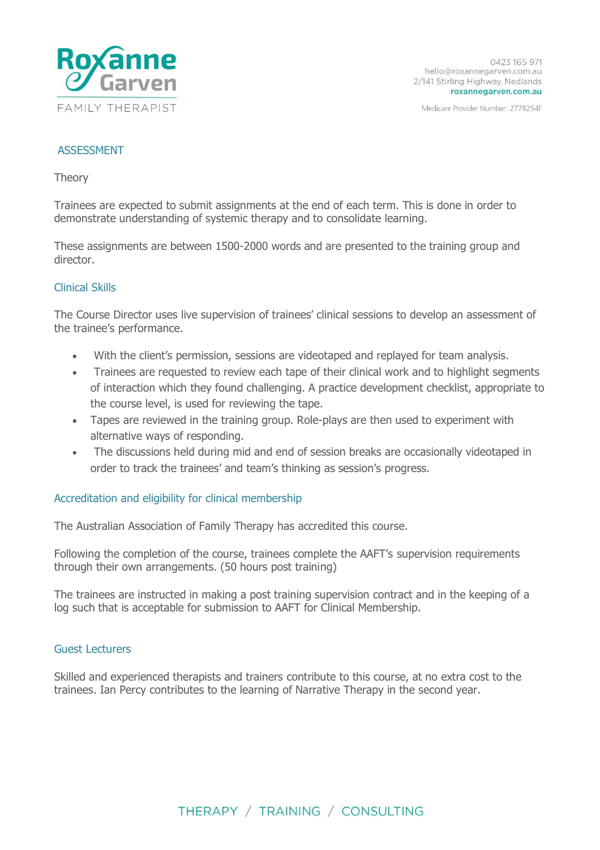

### ASSESSMENT

#### **Theory**

Trainees are expected to submit assignments at the end of each term. This is done in order to demonstrate understanding of systemic therapy and to consolidate learning.

These assignments are between 1500-2000 words and are presented to the training group and director.

### Clinical Skills

The Course Director uses live supervision of trainees' clinical sessions to develop an assessment of the trainee's performance.

- With the client's permission, sessions are videotaped and replayed for team analysis.
- Trainees are requested to review each tape of their clinical work and to highlight segments of interaction which they found challenging. A practice development checklist, appropriate to the course level, is used for reviewing the tape.
- Tapes are reviewed in the training group. Role-plays are then used to experiment with alternative ways of responding.
- The discussions held during mid and end of session breaks are occasionally videotaped in order to track the trainees' and team's thinking as session's progress.

#### Accreditation and eligibility for clinical membership

The Australian Association of Family Therapy has accredited this course.

Following the completion of the course, trainees complete the AAFT's supervision requirements through their own arrangements. (50 hours post training)

The trainees are instructed in making a post training supervision contract and in the keeping of a log such that is acceptable for submission to AAFT for Clinical Membership.

#### Guest Lecturers

Skilled and experienced therapists and trainers contribute to this course, at no extra cost to the trainees. Ian Percy contributes to the learning of Narrative Therapy in the second year.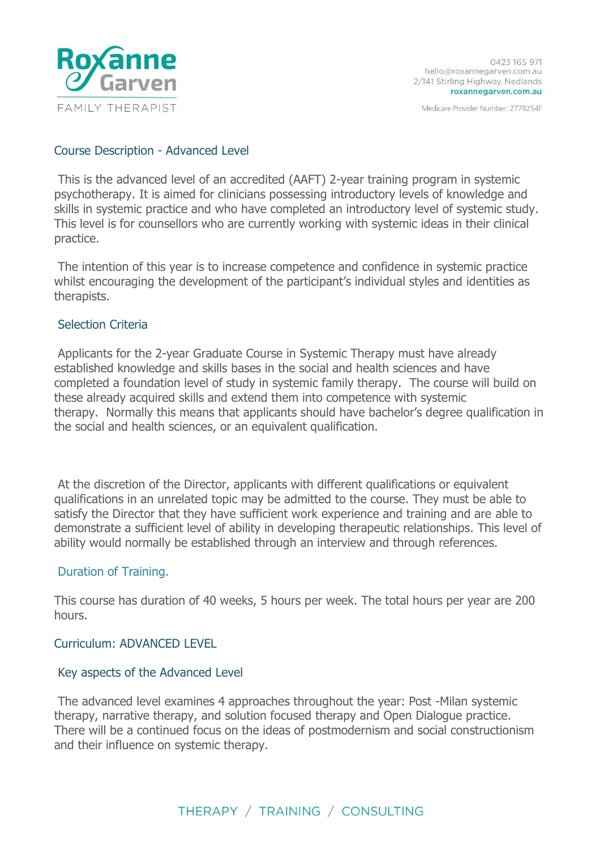

## Course Description - Advanced Level

This is the advanced level of an accredited (AAFT) 2-year training program in systemic psychotherapy. It is aimed for clinicians possessing introductory levels of knowledge and skills in systemic practice and who have completed an introductory level of systemic study. This level is for counsellors who are currently working with systemic ideas in their clinical practice.

The intention of this year is to increase competence and confidence in systemic practice whilst encouraging the development of the participant's individual styles and identities as therapists.

## Selection Criteria

Applicants for the 2-year Graduate Course in Systemic Therapy must have already established knowledge and skills bases in the social and health sciences and have completed a foundation level of study in systemic family therapy. The course will build on these already acquired skills and extend them into competence with systemic therapy. Normally this means that applicants should have bachelor's degree qualification in the social and health sciences, or an equivalent qualification.

At the discretion of the Director, applicants with different qualifications or equivalent qualifications in an unrelated topic may be admitted to the course. They must be able to satisfy the Director that they have sufficient work experience and training and are able to demonstrate a sufficient level of ability in developing therapeutic relationships. This level of ability would normally be established through an interview and through references.

## Duration of Training.

This course has duration of 40 weeks, 5 hours per week. The total hours per year are 200 hours.

## Curriculum: ADVANCED LEVEL

## Key aspects of the Advanced Level

The advanced level examines 4 approaches throughout the year: Post -Milan systemic therapy, narrative therapy, and solution focused therapy and Open Dialogue practice. There will be a continued focus on the ideas of postmodernism and social constructionism and their influence on systemic therapy.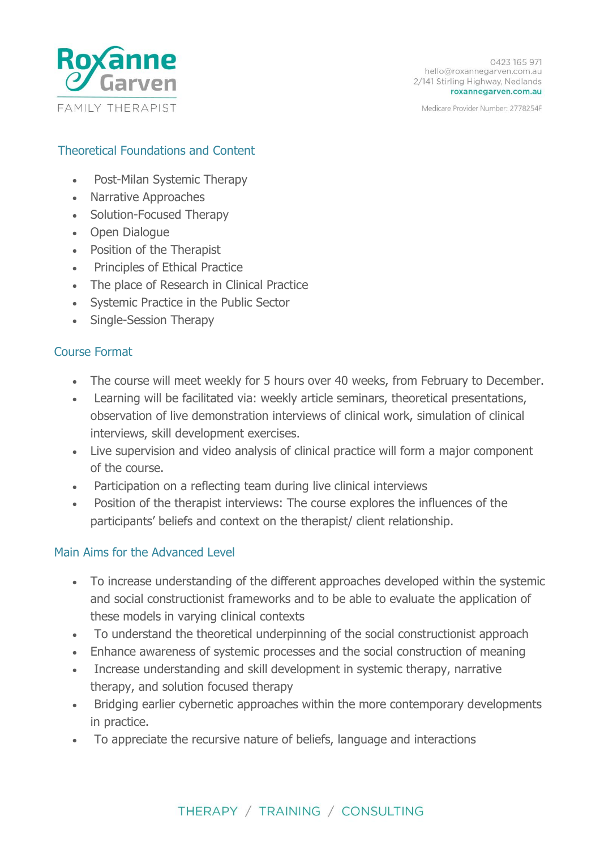

# Theoretical Foundations and Content

- Post-Milan Systemic Therapy
- Narrative Approaches
- Solution-Focused Therapy
- Open Dialogue
- Position of the Therapist
- Principles of Ethical Practice
- The place of Research in Clinical Practice
- Systemic Practice in the Public Sector
- Single-Session Therapy

# Course Format

- The course will meet weekly for 5 hours over 40 weeks, from February to December.
- Learning will be facilitated via: weekly article seminars, theoretical presentations, observation of live demonstration interviews of clinical work, simulation of clinical interviews, skill development exercises.
- Live supervision and video analysis of clinical practice will form a major component of the course.
- Participation on a reflecting team during live clinical interviews
- Position of the therapist interviews: The course explores the influences of the participants' beliefs and context on the therapist/ client relationship.

## Main Aims for the Advanced Level

- To increase understanding of the different approaches developed within the systemic and social constructionist frameworks and to be able to evaluate the application of these models in varying clinical contexts
- To understand the theoretical underpinning of the social constructionist approach
- Enhance awareness of systemic processes and the social construction of meaning
- Increase understanding and skill development in systemic therapy, narrative therapy, and solution focused therapy
- Bridging earlier cybernetic approaches within the more contemporary developments in practice.
- To appreciate the recursive nature of beliefs, language and interactions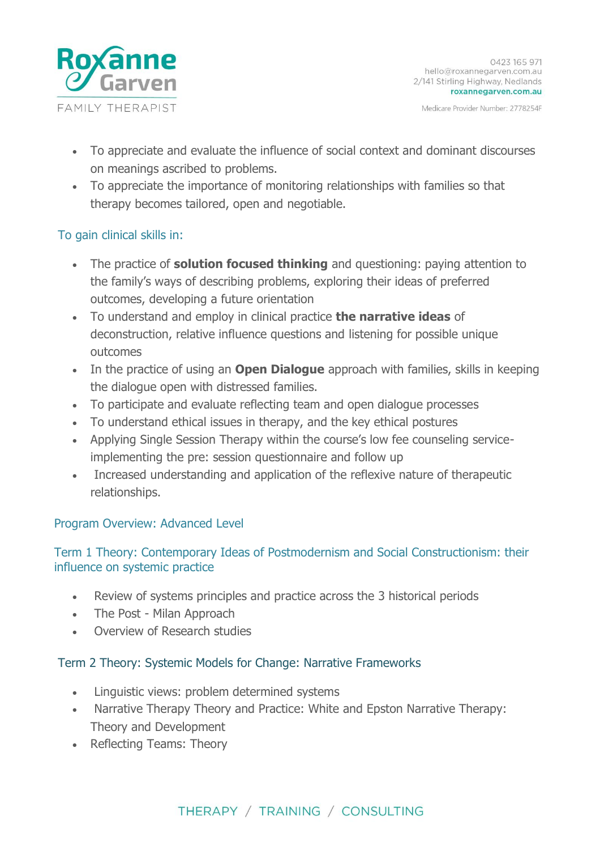

- To appreciate and evaluate the influence of social context and dominant discourses on meanings ascribed to problems.
- To appreciate the importance of monitoring relationships with families so that therapy becomes tailored, open and negotiable.

# To gain clinical skills in:

- The practice of **solution focused thinking** and questioning: paying attention to the family's ways of describing problems, exploring their ideas of preferred outcomes, developing a future orientation
- To understand and employ in clinical practice **the narrative ideas** of deconstruction, relative influence questions and listening for possible unique outcomes
- In the practice of using an **Open Dialogue** approach with families, skills in keeping the dialogue open with distressed families.
- To participate and evaluate reflecting team and open dialogue processes
- To understand ethical issues in therapy, and the key ethical postures
- Applying Single Session Therapy within the course's low fee counseling serviceimplementing the pre: session questionnaire and follow up
- Increased understanding and application of the reflexive nature of therapeutic relationships.

# Program Overview: Advanced Level

# Term 1 Theory: Contemporary Ideas of Postmodernism and Social Constructionism: their influence on systemic practice

- Review of systems principles and practice across the 3 historical periods
- The Post Milan Approach
- Overview of Research studies

## Term 2 Theory: Systemic Models for Change: Narrative Frameworks

- Linguistic views: problem determined systems
- Narrative Therapy Theory and Practice: White and Epston Narrative Therapy: Theory and Development
- Reflecting Teams: Theory